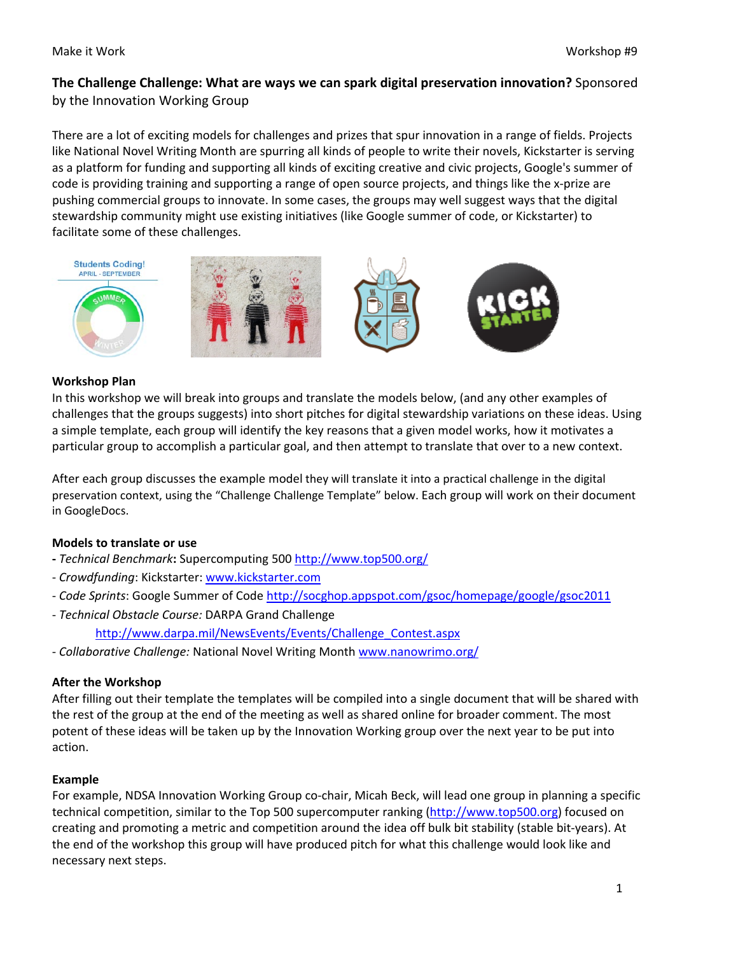# **The Challenge Challenge: What are ways we can spark digital preservation innovation?** Sponsored by the Innovation Working Group

There are a lot of exciting models for challenges and prizes that spur innovation in a range of fields. Projects like National Novel Writing Month are spurring all kinds of people to write their novels, Kickstarter is serving as a platform for funding and supporting all kinds of exciting creative and civic projects, Google's summer of code is providing training and supporting a range of open source projects, and things like the x‐prize are pushing commercial groups to innovate. In some cases, the groups may well suggest ways that the digital stewardship community might use existing initiatives (like Google summer of code, or Kickstarter) to facilitate some of these challenges.









#### **Workshop Plan**

In this workshop we will break into groups and translate the models below, (and any other examples of challenges that the groups suggests) into short pitches for digital stewardship variations on these ideas. Using a simple template, each group will identify the key reasons that a given model works, how it motivates a particular group to accomplish a particular goal, and then attempt to translate that over to a new context.

After each group discusses the example model they will translate it into a practical challenge in the digital preservation context, using the "Challenge Challenge Template" below. Each group will work on their document in GoogleDocs.

### **Models to translate or use**

- **‐** *Technical Benchmark***:** Supercomputing 500 <http://www.top500.org/>
- ‐ *Crowdfunding*: Kickstarter: [www.kickstarter.com](http://www.kickstarter.com/)
- ‐ *Code Sprints*: Google Summer of Code <http://socghop.appspot.com/gsoc/homepage/google/gsoc2011>
- ‐ *Technical Obstacle Course:* DARPA Grand Challenge

[http://www.darpa.mil/NewsEvents/Events/Challenge\\_Contest.aspx](http://www.darpa.mil/NewsEvents/Events/Challenge_Contest.aspx)

‐ *Collaborative Challenge:* National Novel Writing Month [www.nanowrimo.org/](http://www.nanowrimo.org/)

### **After the Workshop**

After filling out their template the templates will be compiled into a single document that will be shared with the rest of the group at the end of the meeting as well as shared online for broader comment. The most potent of these ideas will be taken up by the Innovation Working group over the next year to be put into action.

#### **Example**

For example, NDSA Innovation Working Group co-chair, Micah Beck, will lead one group in planning a specific technical competition, similar to the Top 500 supercomputer ranking ([http://www.top500.org\)](http://www.top500.org/) focused on creating and promoting a metric and competition around the idea off bulk bit stability (stable bit‐years). At the end of the workshop this group will have produced pitch for what this challenge would look like and necessary next steps.